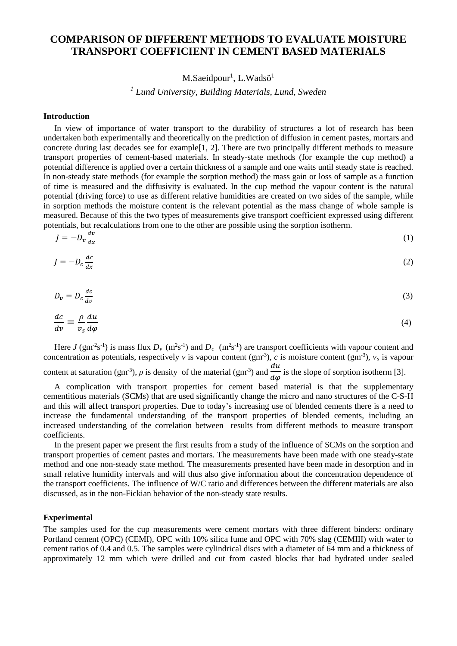# **COMPARISON OF DIFFERENT METHODS TO EVALUATE MOISTURE TRANSPORT COEFFICIENT IN CEMENT BASED MATERIALS**

## M.Saeidpour<sup>1</sup>, L.Wadsö<sup>1</sup>

### *<sup>1</sup> Lund University, Building Materials, Lund, Sweden*

#### **Introduction**

In view of importance of water transport to the durability of structures a lot of research has been undertaken both experimentally and theoretically on the prediction of diffusion in cement pastes, mortars and concrete during last decades see for example[\[1,](#page-3-0) [2\]](#page-3-1). There are two principally different methods to measure transport properties of cement-based materials. In steady-state methods (for example the cup method) a potential difference is applied over a certain thickness of a sample and one waits until steady state is reached. In non-steady state methods (for example the sorption method) the mass gain or loss of sample as a function of time is measured and the diffusivity is evaluated. In the cup method the vapour content is the natural potential (driving force) to use as different relative humidities are created on two sides of the sample, while in sorption methods the moisture content is the relevant potential as the mass change of whole sample is measured. Because of this the two types of measurements give transport coefficient expressed using different potentials, but recalculations from one to the other are possible using the sorption isotherm.

$$
J = -D_v \frac{dv}{dx} \tag{1}
$$

$$
J = -D_c \frac{dc}{dx} \tag{2}
$$

$$
D_v = D_c \frac{dc}{dv} \tag{3}
$$

$$
\frac{dc}{dv} = \frac{\rho}{v_s} \frac{du}{d\varphi} \tag{4}
$$

Here *J* (gm<sup>-2</sup>s<sup>-1</sup>) is mass flux  $D_v$  (m<sup>2</sup>s<sup>-1</sup>) and  $D_c$  (m<sup>2</sup>s<sup>-1</sup>) are transport coefficients with vapour content and concentration as potentials, respectively  $v$  is vapour content (gm<sup>-3</sup>),  $c$  is moisture content (gm<sup>-3</sup>),  $v_s$  is vapour content at saturation (gm<sup>-3</sup>),  $\rho$  is density of the material (gm<sup>-3</sup>) and  $\frac{du}{d\varphi}$  is the slope of sorption isotherm [\[3\]](#page-3-2).

A complication with transport properties for cement based material is that the supplementary cementitious materials (SCMs) that are used significantly change the micro and nano structures of the C-S-H and this will affect transport properties. Due to today's increasing use of blended cements there is a need to increase the fundamental understanding of the transport properties of blended cements, including an increased understanding of the correlation between results from different methods to measure transport coefficients.

In the present paper we present the first results from a study of the influence of SCMs on the sorption and transport properties of cement pastes and mortars. The measurements have been made with one steady-state method and one non-steady state method. The measurements presented have been made in desorption and in small relative humidity intervals and will thus also give information about the concentration dependence of the transport coefficients. The influence of W/C ratio and differences between the different materials are also discussed, as in the non-Fickian behavior of the non-steady state results.

#### **Experimental**

The samples used for the cup measurements were cement mortars with three different binders: ordinary Portland cement (OPC) (CEMI), OPC with 10% silica fume and OPC with 70% slag (CEMIII) with water to cement ratios of 0.4 and 0.5. The samples were cylindrical discs with a diameter of 64 mm and a thickness of approximately 12 mm which were drilled and cut from casted blocks that had hydrated under sealed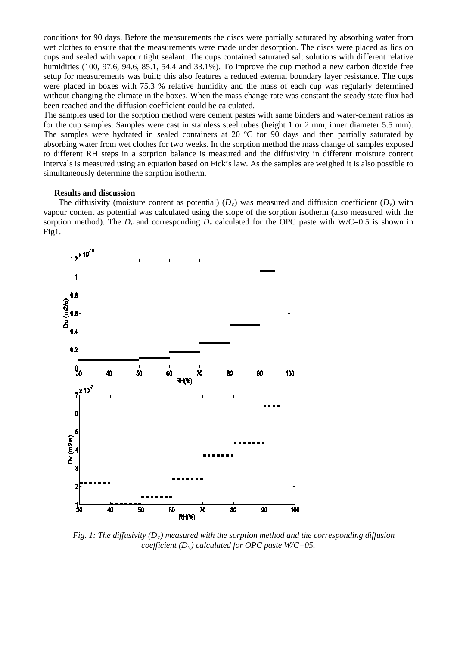conditions for 90 days. Before the measurements the discs were partially saturated by absorbing water from wet clothes to ensure that the measurements were made under desorption. The discs were placed as lids on cups and sealed with vapour tight sealant. The cups contained saturated salt solutions with different relative humidities (100, 97.6, 94.6, 85.1, 54.4 and 33.1%). To improve the cup method a new carbon dioxide free setup for measurements was built; this also features a reduced external boundary layer resistance. The cups were placed in boxes with 75.3 % relative humidity and the mass of each cup was regularly determined without changing the climate in the boxes. When the mass change rate was constant the steady state flux had been reached and the diffusion coefficient could be calculated.

The samples used for the sorption method were cement pastes with same binders and water-cement ratios as for the cup samples. Samples were cast in stainless steel tubes (height 1 or 2 mm, inner diameter 5.5 mm). The samples were hydrated in sealed containers at 20 °C for 90 days and then partially saturated by absorbing water from wet clothes for two weeks. In the sorption method the mass change of samples exposed to different RH steps in a sorption balance is measured and the diffusivity in different moisture content intervals is measured using an equation based on Fick's law. As the samples are weighed it is also possible to simultaneously determine the sorption isotherm.

#### **Results and discussion**

The diffusivity (moisture content as potential)  $(D<sub>c</sub>)$  was measured and diffusion coefficient  $(D<sub>v</sub>)$  with vapour content as potential was calculated using the slope of the sorption isotherm (also measured with the sorption method). The  $D_c$  and corresponding  $D_v$  calculated for the OPC paste with W/C=0.5 is shown in Fig1.



*Fig. 1: The diffusivity (Dc) measured with the sorption method and the corresponding diffusion coefficient (Dv) calculated for OPC paste W/C=05.*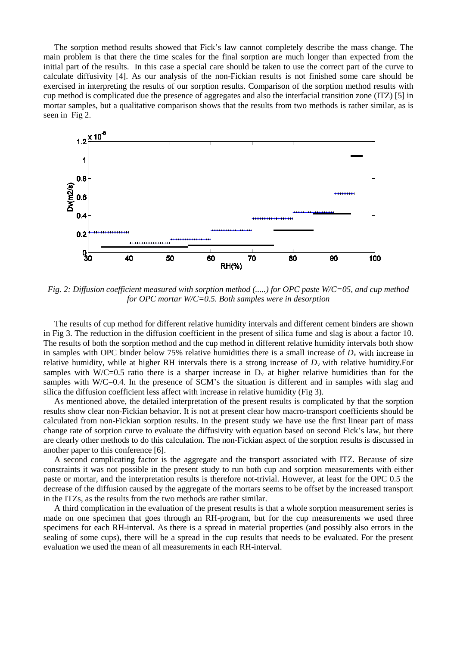The sorption method results showed that Fick's law cannot completely describe the mass change. The main problem is that there the time scales for the final sorption are much longer than expected from the initial part of the results. In this case a special care should be taken to use the correct part of the curve to calculate diffusivity [\[4\]](#page-3-3). As our analysis of the non-Fickian results is not finished some care should be exercised in interpreting the results of our sorption results. Comparison of the sorption method results with cup method is complicated due the presence of aggregates and also the interfacial transition zone (ITZ) [\[5\]](#page-3-4) in mortar samples, but a qualitative comparison shows that the results from two methods is rather similar, as is seen in Fig 2.



*Fig. 2: Diffusion coefficient measured with sorption method (.....) for OPC paste W/C=05, and cup method for OPC mortar W/C=0.5. Both samples were in desorption*

The results of cup method for different relative humidity intervals and different cement binders are shown in Fig 3. The reduction in the diffusion coefficient in the present of silica fume and slag is about a factor 10. The results of both the sorption method and the cup method in different relative humidity intervals both show in samples with OPC binder below 75% relative humidities there is a small increase of  $D<sub>v</sub>$  with increase in relative humidity, while at higher RH intervals there is a strong increase of *Dv* with relative humidity.For samples with W/C=0.5 ratio there is a sharper increase in  $D<sub>y</sub>$  at higher relative humidities than for the samples with W/C=0.4. In the presence of SCM's the situation is different and in samples with slag and silica the diffusion coefficient less affect with increase in relative humidity (Fig 3).

As mentioned above, the detailed interpretation of the present results is complicated by that the sorption results show clear non-Fickian behavior. It is not at present clear how macro-transport coefficients should be calculated from non-Fickian sorption results. In the present study we have use the first linear part of mass change rate of sorption curve to evaluate the diffusivity with equation based on second Fick's law, but there are clearly other methods to do this calculation. The non-Fickian aspect of the sorption results is discussed in another paper to this conference [\[6\]](#page-3-5).

A second complicating factor is the aggregate and the transport associated with ITZ. Because of size constraints it was not possible in the present study to run both cup and sorption measurements with either paste or mortar, and the interpretation results is therefore not-trivial. However, at least for the OPC 0.5 the decrease of the diffusion caused by the aggregate of the mortars seems to be offset by the increased transport in the ITZs, as the results from the two methods are rather similar.

A third complication in the evaluation of the present results is that a whole sorption measurement series is made on one specimen that goes through an RH-program, but for the cup measurements we used three specimens for each RH-interval. As there is a spread in material properties (and possibly also errors in the sealing of some cups), there will be a spread in the cup results that needs to be evaluated. For the present evaluation we used the mean of all measurements in each RH-interval.